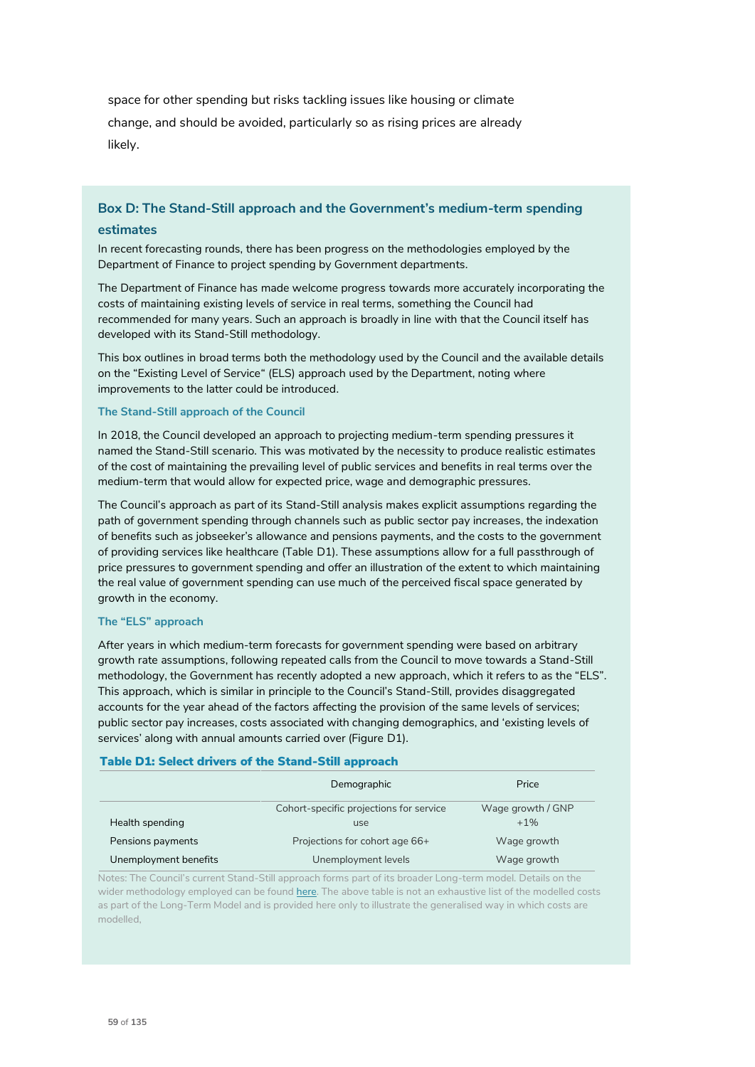space for other spending but risks tackling issues like housing or climate change, and should be avoided, particularly so as rising prices are already likely.

# **Box D: The Stand-Still approach and the Government's medium-term spending**

## **estimates**

In recent forecasting rounds, there has been progress on the methodologies employed by the Department of Finance to project spending by Government departments.

The Department of Finance has made welcome progress towards more accurately incorporating the costs of maintaining existing levels of service in real terms, something the Council had recommended for many years. Such an approach is broadly in line with that the Council itself has developed with its Stand-Still methodology.

This box outlines in broad terms both the methodology used by the Council and the available details on the "Existing Level of Service" (ELS) approach used by the Department, noting where improvements to the latter could be introduced.

#### **The Stand-Still approach of the Council**

In 2018, the Council developed an approach to projecting medium-term spending pressures it named the Stand-Still scenario. This was motivated by the necessity to produce realistic estimates of the cost of maintaining the prevailing level of public services and benefits in real terms over the medium-term that would allow for expected price, wage and demographic pressures.

The Council's approach as part of its Stand-Still analysis makes explicit assumptions regarding the path of government spending through channels such as public sector pay increases, the indexation of benefits such as jobseeker's allowance and pensions payments, and the costs to the government of providing services like healthcare (Table D1). These assumptions allow for a full passthrough of price pressures to government spending and offer an illustration of the extent to which maintaining the real value of government spending can use much of the perceived fiscal space generated by growth in the economy.

#### **The "ELS" approach**

After years in which medium-term forecasts for government spending were based on arbitrary growth rate assumptions, following repeated calls from the Council to move towards a Stand-Still methodology, the Government has recently adopted a new approach, which it refers to as the "ELS". This approach, which is similar in principle to the Council's Stand-Still, provides disaggregated accounts for the year ahead of the factors affecting the provision of the same levels of services; public sector pay increases, costs associated with changing demographics, and 'existing levels of services' along with annual amounts carried over (Figure D1).

### Table D1: Select drivers of the Stand-Still approach

|                       | Demographic                                    | Price                      |
|-----------------------|------------------------------------------------|----------------------------|
| Health spending       | Cohort-specific projections for service<br>use | Wage growth / GNP<br>$+1%$ |
| Pensions payments     | Projections for cohort age 66+                 | Wage growth                |
| Unemployment benefits | Unemployment levels                            | Wage growth                |

Notes: The Council's current Stand-Still approach forms part of its broader Long-term model. Details on the wider methodology employed can be found here. The above table is not an exhaustive list of the modelled costs as part of the Long-Term Model and is provided here only to illustrate the generalised way in which costs are modelled,